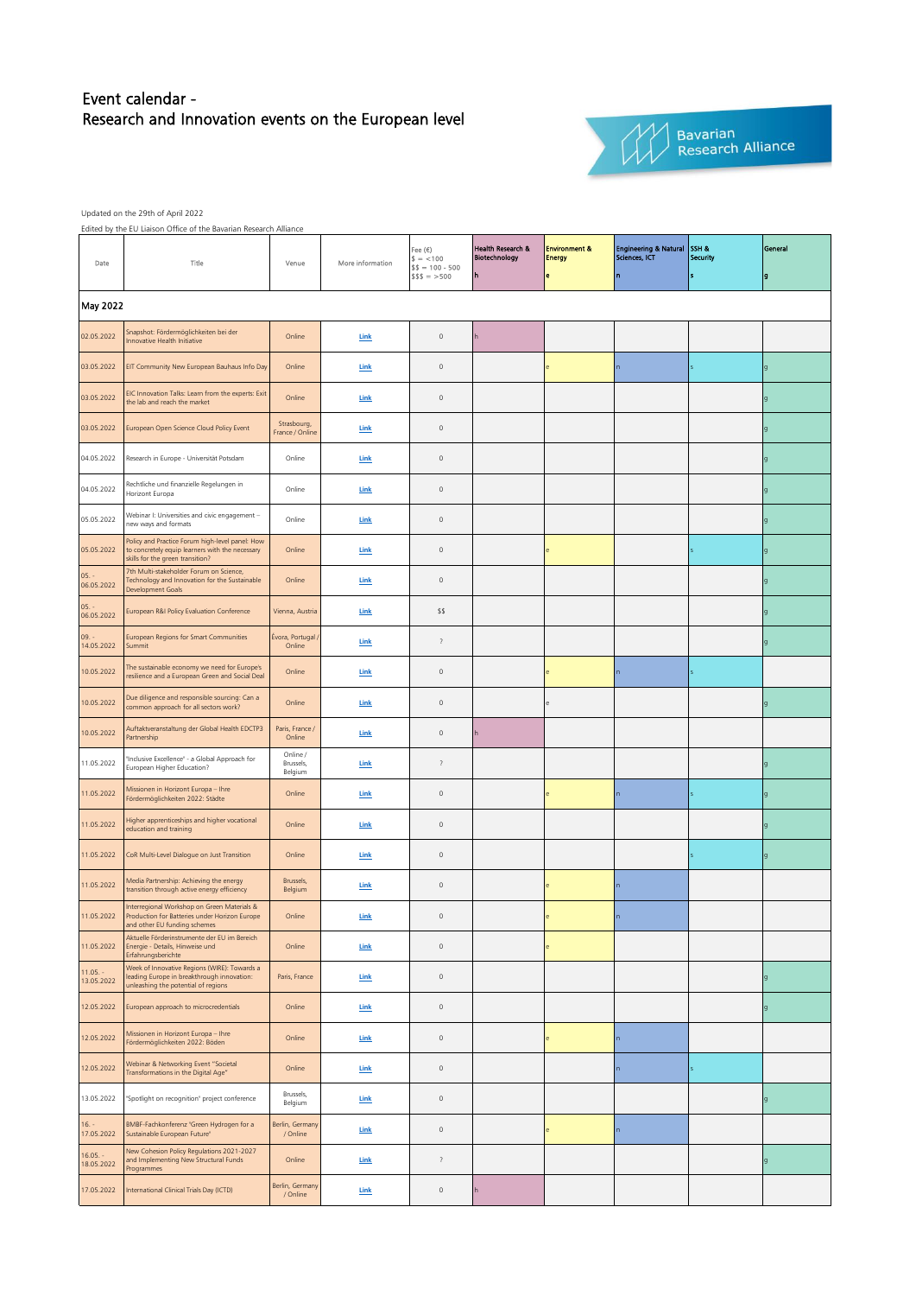## Event calendar - Research and Innovation events on the European level



Bavarian<br>Research Alliance

Updated on the 29th of April 2022

Edited by the EU Liaison Office of the Bavarian Research Alliance

| Date                     | Edited by the ED Liaison Office of the Bavarian Research Alliance<br>Title                                                             | Venue                            | More information            | Fee $(\epsilon)$<br>$$ = < 100$<br>$$ = 100 - 500$<br>$$$ \$\$ = >500 | Health Research &<br>Biotechnology<br>h | <b>Environment &amp;</b><br><b>Energy</b><br>e | <b>Engineering &amp; Natural</b><br>Sciences, ICT | SSH &<br>Security | General<br>g   |
|--------------------------|----------------------------------------------------------------------------------------------------------------------------------------|----------------------------------|-----------------------------|-----------------------------------------------------------------------|-----------------------------------------|------------------------------------------------|---------------------------------------------------|-------------------|----------------|
| May 2022                 |                                                                                                                                        |                                  |                             |                                                                       |                                         |                                                |                                                   |                   |                |
| 02.05.2022               | Snapshot: Fördermöglichkeiten bei der<br>Innovative Health Initiative                                                                  | Online                           | Link                        | $\mathsf{O}\xspace$                                                   |                                         |                                                |                                                   |                   |                |
| 03.05.2022               | EIT Community New European Bauhaus Info Day                                                                                            | Online                           | Link                        | $\mathsf{O}\xspace$                                                   |                                         |                                                |                                                   |                   | g              |
| 03.05.2022               | EIC Innovation Talks: Learn from the experts: Exit<br>the lab and reach the market                                                     | Online                           | Link                        | $\mathbb O$                                                           |                                         |                                                |                                                   |                   | g              |
| 03.05.2022               | European Open Science Cloud Policy Event                                                                                               | Strasbourg,<br>France / Online   | Link                        | $\mathsf{O}\xspace$                                                   |                                         |                                                |                                                   |                   | $\mathsf{g}$   |
| 04.05.2022               | Research in Europe - Universität Potsdam                                                                                               | Online                           | Link                        | $\mathsf{O}\xspace$                                                   |                                         |                                                |                                                   |                   | $\mathsf{q}$   |
| 04.05.2022               | Rechtliche und finanzielle Regelungen in<br>Horizont Europa                                                                            | Online                           | Link                        | $\mathsf{O}\xspace$                                                   |                                         |                                                |                                                   |                   | g              |
| 05.05.2022               | Webinar I: Universities and civic engagement -<br>new ways and formats                                                                 | Online                           | Link                        | $\mathsf{O}\xspace$                                                   |                                         |                                                |                                                   |                   | g              |
| 05.05.2022               | Policy and Practice Forum high-level panel: How<br>to concretely equip learners with the necessary<br>skills for the green transition? | Online                           | Link                        | $\mathsf{O}\xspace$                                                   |                                         |                                                |                                                   |                   | $\mathsf{g}$   |
| $05. -$<br>06.05.2022    | 7th Multi-stakeholder Forum on Science,<br>Technology and Innovation for the Sustainable<br>Development Goals                          | Online                           | Link                        | $\mathsf{O}\xspace$                                                   |                                         |                                                |                                                   |                   | $\mathsf{g}$   |
| $05. -$<br>06.05.2022    | European R&I Policy Evaluation Conference                                                                                              | Vienna, Austria                  | Link                        | \$\$                                                                  |                                         |                                                |                                                   |                   | q              |
| $09. -$<br>14.05.2022    | <b>European Regions for Smart Communities</b><br>Summit                                                                                | Évora, Portugal /<br>Online      | Link                        | $\overline{\mathbf{?}}$                                               |                                         |                                                |                                                   |                   | q              |
| 10.05.2022               | The sustainable economy we need for Europe's<br>resilience and a European Green and Social Deal                                        | Online                           | <b>Link</b>                 | $\mathsf{O}\xspace$                                                   |                                         |                                                |                                                   |                   |                |
| 10.05.2022               | Due diligence and responsible sourcing: Can a<br>common approach for all sectors work?                                                 | Online                           | Link                        | $\mathsf{O}\xspace$                                                   |                                         |                                                |                                                   |                   |                |
| 10.05.2022               | Auftaktveranstaltung der Global Health EDCTP3<br>Partnership                                                                           | Paris, France /<br>Online        | Link                        | $\mathsf{O}\xspace$                                                   |                                         |                                                |                                                   |                   |                |
| 11.05.2022               | "Inclusive Excellence" - a Global Approach for<br>European Higher Education?                                                           | Online /<br>Brussels,<br>Belgium | Link                        | $\overline{\cdot}$                                                    |                                         |                                                |                                                   |                   | q              |
| 11.05.2022               | Missionen in Horizont Europa - Ihre<br>Fördermöglichkeiten 2022: Städte                                                                | Online                           | $\underline{\mathsf{Link}}$ | $\mathsf{O}\xspace$                                                   |                                         |                                                |                                                   |                   | $\overline{g}$ |
| 11.05.2022               | Higher apprenticeships and higher vocational<br>education and training                                                                 | Online                           | Link                        | $\mathsf{O}\xspace$                                                   |                                         |                                                |                                                   |                   | $\mathsf{g}$   |
| 11.05.2022               | CoR Multi-Level Dialogue on Just Transition                                                                                            | Online                           | Link                        | $\mathbb O$                                                           |                                         |                                                |                                                   |                   | g              |
| 11.05.2022               | Media Partnership: Achieving the energy<br>transition through active energy efficiency                                                 | Brussels,<br>Belgium             | Link                        | $\mathsf{O}\xspace$                                                   |                                         |                                                |                                                   |                   |                |
| 11.05.2022               | Interregional Workshop on Green Materials &<br>Production for Batteries under Horizon Europe<br>and other EU funding schemes           | Online                           | Link                        | $\mathbb O$                                                           |                                         |                                                |                                                   |                   |                |
| 11.05.2022               | Aktuelle Förderinstrumente der EU im Bereich<br>Energie - Details, Hinweise und<br>Erfahrungsberichte                                  | Online                           | $Link$                      | $\mathsf{O}\xspace$                                                   |                                         |                                                |                                                   |                   |                |
| $11.05. -$<br>13.05.2022 | Week of Innovative Regions (WIRE): Towards a<br>leading Europe in breakthrough innovation:<br>unleashing the potential of regions      | Paris, France                    | Link                        | $\mathsf{O}\xspace$                                                   |                                         |                                                |                                                   |                   | g              |
| 12.05.2022               | European approach to microcredentials                                                                                                  | Online                           | Link                        | $\mathbb O$                                                           |                                         |                                                |                                                   |                   | g              |
| 12.05.2022               | Missionen in Horizont Europa - Ihre<br>Fördermöglichkeiten 2022: Böden                                                                 | Online                           | Link                        | $\mathsf{O}\xspace$                                                   |                                         |                                                | n                                                 |                   |                |
| 12.05.2022               | Webinar & Networking Event "Societal<br>Transformations in the Digital Age"                                                            | Online                           | Link                        | $\mathsf{O}\xspace$                                                   |                                         |                                                |                                                   |                   |                |
| 13.05.2022               | "Spotlight on recognition" project conference                                                                                          | Brussels,<br>Belgium             | Link                        | $\mathsf{O}\xspace$                                                   |                                         |                                                |                                                   |                   | g              |
| $16. -$<br>17.05.2022    | BMBF-Fachkonferenz "Green Hydrogen for a<br>Sustainable European Future"                                                               | Berlin, Germany<br>/ Online      | Link                        | $\mathsf{O}\xspace$                                                   |                                         |                                                | n                                                 |                   |                |
| $16.05. -$<br>18.05.2022 | New Cohesion Policy Regulations 2021-2027<br>and Implementing New Structural Funds<br>Programmes                                       | Online                           | Link                        | $\,$ ?                                                                |                                         |                                                |                                                   |                   | q              |
| 17.05.2022               | International Clinical Trials Day (ICTD)                                                                                               | Berlin, Germany<br>/ Online      | Link                        | $\mathsf{O}\xspace$                                                   |                                         |                                                |                                                   |                   |                |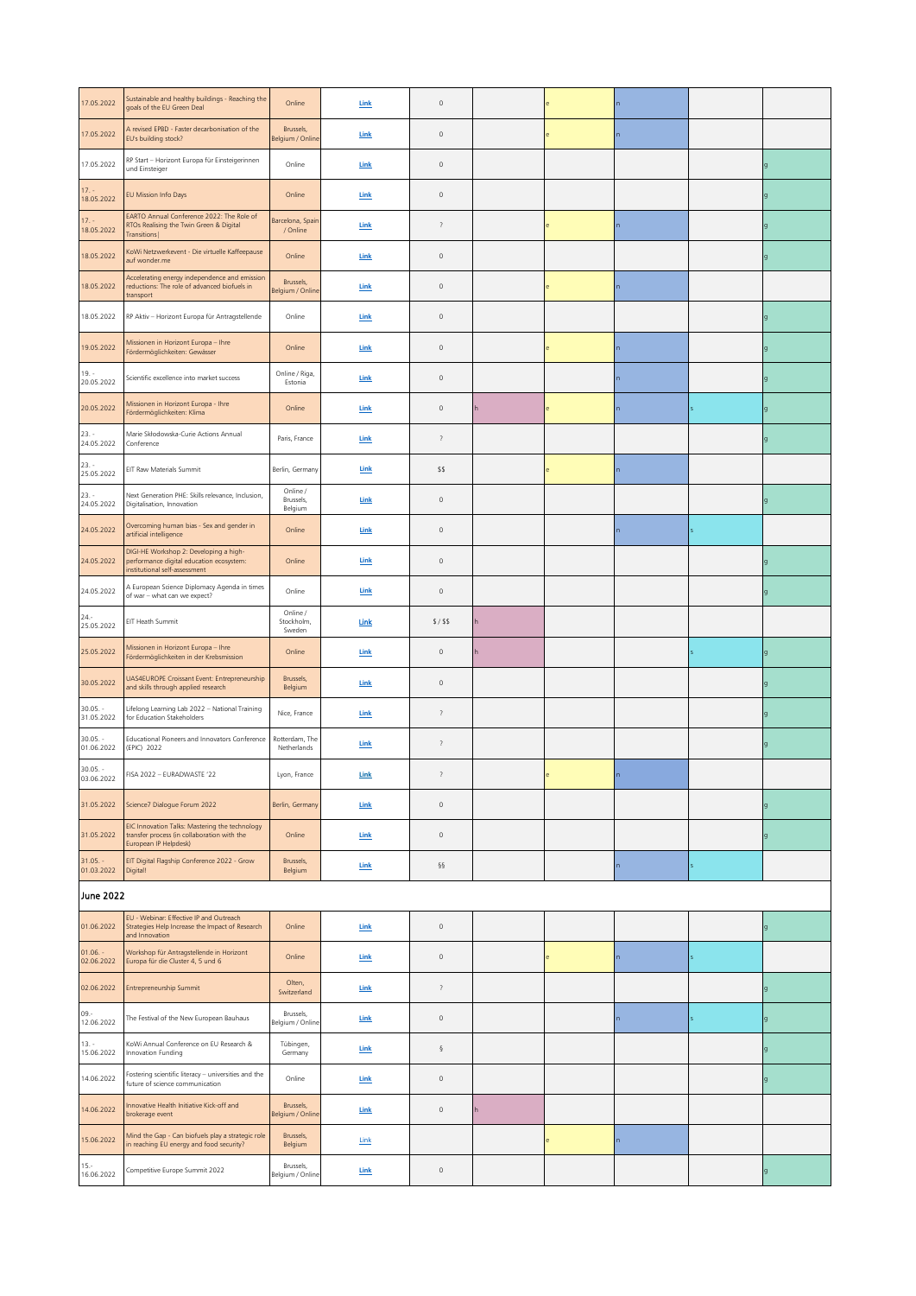| 17.05.2022               | Sustainable and healthy buildings - Reaching the<br>goals of the EU Green Deal                                         | Online                           | Link         | $\mathsf{O}\xspace$ |   |  |  |  |              |
|--------------------------|------------------------------------------------------------------------------------------------------------------------|----------------------------------|--------------|---------------------|---|--|--|--|--------------|
| 17.05.2022               | A revised EPBD - Faster decarbonisation of the<br>EU's building stock?                                                 | Brussels,<br>Belgium / Online    | Link         | $\mathbb O$         |   |  |  |  |              |
| 17.05.2022               | RP Start - Horizont Europa für Einsteigerinnen<br>und Einsteiger                                                       | Online                           | Link         | $\mathsf{O}\xspace$ |   |  |  |  |              |
| $17. -$<br>18.05.2022    | EU Mission Info Days                                                                                                   | Online                           | Link         | $\mathbb O$         |   |  |  |  |              |
| $17. -$<br>18.05.2022    | EARTO Annual Conference 2022: The Role of<br>RTOs Realising the Twin Green & Digital<br>Transitions                    | Barcelona, Spain<br>/ Online     | Link         | $\overline{\cdot}$  |   |  |  |  | $\mathbf{q}$ |
| 18.05.2022               | KoWi Netzwerkevent - Die virtuelle Kaffeepause<br>auf wonder.me                                                        | Online                           | ${\sf Link}$ | $\mathsf{O}\xspace$ |   |  |  |  | g            |
| 18.05.2022               | Accelerating energy independence and emission<br>reductions: The role of advanced biofuels in<br>transport             | Brussels,<br>Belgium / Online    | <b>Link</b>  | $\mathbb O$         |   |  |  |  |              |
| 18.05.2022               | RP Aktiv - Horizont Europa für Antragstellende                                                                         | Online                           | Link         | $\mathbb O$         |   |  |  |  | q            |
| 19.05.2022               | Missionen in Horizont Europa - Ihre<br>Fördermöglichkeiten: Gewässer                                                   | Online                           | Link         | $\mathbb O$         |   |  |  |  | g            |
| $19. -$<br>20.05.2022    | Scientific excellence into market success                                                                              | Online / Riga,<br>Estonia        | Link         | $\mathbb O$         |   |  |  |  |              |
| 20.05.2022               | Missionen in Horizont Europa - Ihre<br>Fördermöglichkeiten: Klima                                                      | Online                           | Link         | $\mathsf{O}\xspace$ |   |  |  |  | g            |
| $23. -$<br>24.05.2022    | Marie Skłodowska-Curie Actions Annual<br>Conference                                                                    | Paris, France                    | <b>Link</b>  | $\,$ ?              |   |  |  |  |              |
| $23. -$<br>25.05.2022    | EIT Raw Materials Summit                                                                                               | Berlin, Germany                  | Link         | \$\$                |   |  |  |  |              |
| 23. -<br>24.05.2022      | Next Generation PHE: Skills relevance, Inclusion,<br>Digitalisation, Innovation                                        | Online /<br>Brussels,<br>Belgium | Link         | $\mathbb O$         |   |  |  |  | q            |
| 24.05.2022               | Overcoming human bias - Sex and gender in<br>artificial intelligence                                                   | Online                           | Link         | $\mathbb O$         |   |  |  |  |              |
| 24.05.2022               | DIGI-HE Workshop 2: Developing a high-<br>performance digital education ecosystem:<br>institutional self-assessment    | Online                           | Link         | $\mathsf{O}\xspace$ |   |  |  |  |              |
| 24.05.2022               | A European Science Diplomacy Agenda in times<br>of war - what can we expect?                                           | Online                           | Link         | $\mathbb O$         |   |  |  |  |              |
| $24. -$<br>25.05.2022    | EIT Heath Summit                                                                                                       | Online /<br>Stockholm,<br>Sweden | <b>Link</b>  | $$/$ \$\$           |   |  |  |  |              |
| 25.05.2022               | Missionen in Horizont Europa - Ihre<br>Fördermöglichkeiten in der Krebsmission                                         | Online                           | <b>Link</b>  | $\mathbb O$         |   |  |  |  | g            |
| 30.05.2022               | UAS4EUROPE Croissant Event: Entrepreneurship<br>and skills through applied research                                    | Brussels,<br>Belgium             | Link         | $\mathbb O$         |   |  |  |  |              |
| $30.05. -$<br>31.05.2022 | Lifelong Learning Lab 2022 - National Training<br>for Education Stakeholders                                           | Nice, France                     | Link         | $\,$ ?              |   |  |  |  |              |
| $30.05. -$<br>01.06.2022 | Educational Pioneers and Innovators Conference<br>(EPIC) 2022                                                          | Rotterdam, The<br>Netherlands    | <b>Link</b>  | $\overline{\cdot}$  |   |  |  |  |              |
| $30.05. -$<br>03.06.2022 | FISA 2022 - EURADWASTE '22                                                                                             | Lyon, France                     | Link         | $\overline{\cdot}$  |   |  |  |  |              |
| 31.05.2022               | Science7 Dialogue Forum 2022                                                                                           | Berlin, Germany                  | <b>Link</b>  | $\mathbb O$         |   |  |  |  | $\mathsf{g}$ |
| 31.05.2022               | EIC Innovation Talks: Mastering the technology<br>transfer process (in collaboration with the<br>European IP Helpdesk) | Online                           | Link         | $\mathbb O$         |   |  |  |  | $\mathbf{q}$ |
| $31.05. -$<br>01.03.2022 | EIT Digital Flagship Conference 2022 - Grow<br>Digital!                                                                | Brussels,<br>Belgium             | Link         | ާ                   |   |  |  |  |              |
| June 2022                |                                                                                                                        |                                  |              |                     |   |  |  |  |              |
| 01.06.2022               | EU - Webinar: Effective IP and Outreach<br>Strategies Help Increase the Impact of Research<br>and Innovation           | Online                           | <b>Link</b>  | $\mathbb O$         |   |  |  |  | $\mathsf{g}$ |
| $01.06. -$<br>02.06.2022 | Workshop für Antragstellende in Horizont<br>Europa für die Cluster 4, 5 und 6                                          | Online                           | <b>Link</b>  | $\mathbb O$         |   |  |  |  |              |
| 02.06.2022               | Entrepreneurship Summit                                                                                                | Olten,<br>Switzerland            | Link         | $\overline{\cdot}$  |   |  |  |  | $\mathbf{q}$ |
| $09 -$<br>12.06.2022     | The Festival of the New European Bauhaus                                                                               | Brussels,<br>Belgium / Online    | Link         | $\mathsf{O}\xspace$ |   |  |  |  | g            |
| $13. -$<br>15.06.2022    | KoWi Annual Conference on EU Research &<br>Innovation Funding                                                          | Tübingen,<br>Germany             | <b>Link</b>  | ş                   |   |  |  |  |              |
| 14.06.2022               | Fostering scientific literacy - universities and the<br>future of science communication                                | Online                           | <b>Link</b>  | $\mathbb O$         |   |  |  |  | $\mathsf{g}$ |
| 14.06.2022               | Innovative Health Initiative Kick-off and<br>brokerage event                                                           | Brussels,<br>Belgium / Online    | Link         | $\mathbb O$         | h |  |  |  |              |
| 15.06.2022               | Mind the Gap - Can biofuels play a strategic role<br>in reaching EU energy and food security?                          | Brussels,<br>Belgium             | Link         |                     |   |  |  |  |              |
| $15. -$<br>16.06.2022    | Competitive Europe Summit 2022                                                                                         | Brussels,<br>Belgium / Online    | <b>Link</b>  | $\mathbb O$         |   |  |  |  | g            |